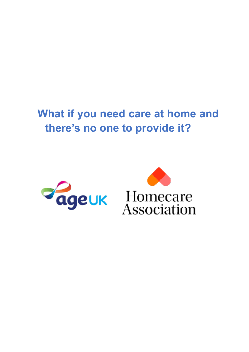# **What if you need care at home and there's no one to provide it?**

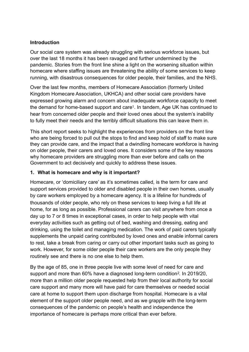#### **Introduction**

Our social care system was already struggling with serious workforce issues, but over the last 18 months it has been ravaged and further undermined by the pandemic. Stories from the front line shine a light on the worsening situation within homecare where staffing issues are threatening the ability of some services to keep running, with disastrous consequences for older people, their families, and the NHS.

<span id="page-1-0"></span>Over the last few months, members of Homecare Association (formerly United Kingdom Homecare Association, UKHCA) and other social care providers have expressed growing alarm and concern about inadequate workforce capacity to meet the demand for home-based support and care<sup>1</sup>[.](#page-8-0) In tandem, Age UK has continued to hear from concerned older people and their loved ones about the system's inability to fully meet their needs and the terribly difficult situations this can leave them in.

This short report seeks to highlight the experiences from providers on the front line who are being forced to pull out the stops to find and keep hold of staff to make sure they can provide care, and the impact that a dwindling homecare workforce is having on older people, their carers and loved ones. It considers some of the key reasons why homecare providers are struggling more than ever before and calls on the Government to act decisively and quickly to address these issues.

#### **1. What is homecare and why is it important?**

Homecare, or 'domiciliary care' as it's sometimes called, is the term for care and support services provided to older and disabled people in their own homes, usually by care workers employed by a homecare agency. It is a lifeline for hundreds of thousands of older people, who rely on these services to keep living a full life at home, for as long as possible. Professional carers can visit anywhere from once a day up to 7 or 8 times in exceptional cases, in order to help people with vital everyday activities such as getting out of bed, washing and dressing, eating and drinking, using the toilet and managing medication. The work of paid carers typically supplements the unpaid caring contributed by loved ones and enable informal carers to rest, take a break from caring or carry out other important tasks such as going to work. However, for some older people their care workers are the only people they routinely see and there is no one else to help them.

<span id="page-1-1"></span>By the age of 85, one in three people live with some level of need for care and support and more than 60% have a diagnosed long-term condition<sup>[2](#page-8-1)</sup>. In 2019/20, more than a million older people requested help from their local authority for social care support and many more will have paid for care themselves or needed social care at home to support them upon discharge from hospital. Homecare is a vital element of the support older people need, and as we grapple with the long-term consequences of the pandemic on people's health and independence the importance of homecare is perhaps more critical than ever before.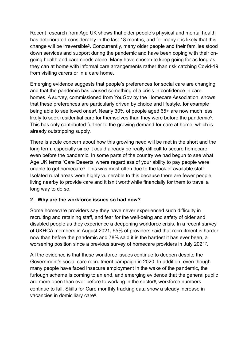<span id="page-2-0"></span>Recent research from Age UK shows that older people's physical and mental health has deteriorated considerably in the last 18 months, and for many it is likely that this change will be irreversible<sup>[3](#page-8-2)</sup>. Concurrently, many older people and their families stood down services and support during the pandemic and have been coping with their ongoing health and care needs alone. Many have chosen to keep going for as long as they can at home with informal care arrangements rather than risk catching Covid-19 from visiting carers or in a care home.

<span id="page-2-1"></span>Emerging evidence suggests that people's preferences for social care are changing and that the pandemic has caused something of a crisis in confidence in care homes. A survey, commissioned from YouGov by the Homecare Association, shows that these preferences are particularly driven by choice and lifestyle, for example being able to see loved ones<sup>[4](#page-9-0)</sup>. Nearly 30% of people aged  $65+$  are now much less likely to seek residential care for themselves than they were before the pandemic<sup>[5](#page-9-1)</sup>. This has only contributed further to the growing demand for care at home, which is already outstripping supply.

<span id="page-2-3"></span><span id="page-2-2"></span>There is acute concern about how this growing need will be met in the short and the long term, especially since it could already be really difficult to secure homecare even before the pandemic. In some parts of the country we had begun to see what Age UK terms 'Care Deserts' where regardless of your ability to pay people were unable to get homecare<sup>6</sup>[.](#page-9-2) This was most often due to the lack of available staff. Isolated rural areas were highly vulnerable to this because there are fewer people living nearby to provide care and it isn't worthwhile financially for them to travel a long way to do so.

#### **2. Why are the workforce issues so bad now?**

Some homecare providers say they have never experienced such difficulty in recruiting and retaining staff, and fear for the well-being and safety of older and disabled people as they experience a deepening workforce crisis. In a recent survey of UKHCA members in August 2021, 95% of providers said that recruitment is harder now than before the pandemic and 78% said it is the hardest it has ever been, a worsening position since a previous survey of homecare providers in July 2021<sup>7</sup>[.](#page-9-3)

<span id="page-2-6"></span><span id="page-2-5"></span><span id="page-2-4"></span>All the evidence is that these workforce issues continue to deepen despite the Government's social care recruitment campaign in 2020. In addition, even though many people have faced insecure employment in the wake of the pandemic, the furlough scheme is coming to an end, and emerging evidence that the general public are more open than ever before to working in the sector[8,](#page-9-4) workforce numbers continue to fall. Skills for Care monthly tracking data show a steady increase in vacancies in domiciliary care<sup>[9](#page-9-5)</sup>.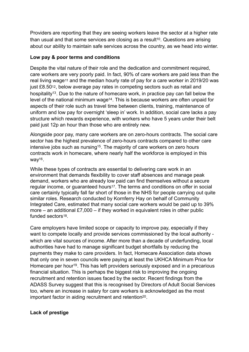<span id="page-3-0"></span>Providers are reporting that they are seeing workers leave the sector at a higher rate than usual and that some services are closing as a result<sup>[10](#page-9-6)</sup>. Questions are arising about our ability to maintain safe services across the country, as we head into winter.

### **Low pay & poor terms and conditions**

<span id="page-3-4"></span><span id="page-3-3"></span><span id="page-3-2"></span><span id="page-3-1"></span>Despite the vital nature of their role and the dedication and commitment required, care workers are very poorly paid. In fact, 90% of care workers are paid less than the real living wage<sup>[11](#page-9-7)</sup> and the median hourly rate of pay for a care worker in 2019/20 was just £8.5[012,](#page-9-8) below average pay rates in competing sectors such as retail and hospitality<sup>[13](#page-9-9)</sup>. Due to the nature of homecare work, in practice pay can fall below the level of the national minimum wage<sup>[14](#page-9-10)</sup>. This is because workers are often unpaid for aspects of their role such as travel time between clients, training, maintenance of uniform and low pay for overnight 'sleep in' work. In addition, social care lacks a pay structure which rewards experience, with workers who have 5 years under their belt paid just 12p an hour than those who are entirely new.

<span id="page-3-5"></span>Alongside poor pay, many care workers are on zero-hours contracts. The social care sector has the highest prevalence of zero-hours contracts compared to other care intensive jobs such as nursing<sup>15</sup>[.](#page-9-11) The majority of care workers on zero hours contracts work in homecare, where nearly half the workforce is employed in this  $way<sup>16</sup>$  $way<sup>16</sup>$  $way<sup>16</sup>$ .

<span id="page-3-6"></span>While these types of contracts are essential to delivering care work in an environment that demands flexibility to cover staff absences and manage peak demand, workers who are already low paid can find themselves without a secure regular income, or guaranteed hours<sup>17</sup>. The terms and conditions on offer in social care certainly typically fall far short of those in the NHS for people carrying out quite similar roles. Research conducted by Kornferry Hay on behalf of Community Integrated Care, estimated that many social care workers would be paid up to 39% more – an additional  $£7,000 - if$  they worked in equivalent roles in other public funded sectors[18.](#page-9-13)

<span id="page-3-8"></span><span id="page-3-7"></span>Care employers have limited scope or capacity to improve pay, especially if they want to compete locally and provide services commissioned by the local authority which are vital sources of income. After more than a decade of underfunding, local authorities have had to manage significant budget shortfalls by reducing the payments they make to care providers. In fact, Homecare Association data shows that only one in seven councils were paying at least the UKHCA Minimum Price for Homecare per hour<sup>[19](#page-9-14)</sup>. This has left providers seriously exposed and in a precarious financial situation. This is perhaps the biggest risk to improving the ongoing recruitment and retention issues faced by the sector. Recent findings from the ADASS Survey suggest that this is recognised by Directors of Adult Social Services too, where an increase in salary for care workers is acknowledged as the most important factor in aiding recruitment and retention<sup>[20](#page-9-15)</sup>.

#### <span id="page-3-9"></span>**Lack of prestige**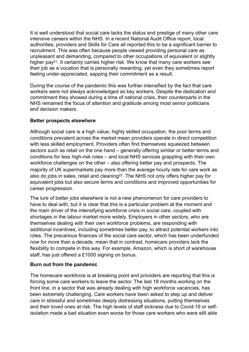It is well understood that social care lacks the status and prestige of many other care intensive careers within the NHS. In a recent National Audit Office report, local authorities, providers and Skills for Care all reported this to be a significant barrier to recruitment. This was often because people viewed providing personal care as unpleasant and demanding, compared to other occupations of equivalent or slightly higher pay<sup>21</sup>[.](#page-9-16) It certainly carries higher risk. We know that many care workers see their job as a vocation that is personally rewarding, yet even they sometimes report feeling under-appreciated, sapping their commitment as a result.

<span id="page-4-0"></span>During the course of the pandemic this was further intensified by the fact that care workers were not always acknowledged as key workers. Despite the dedication and commitment they showed during a time of national crisis, their counterparts in the NHS remained the focus of attention and gratitude among most senior politicians and decision makers.

#### **Better prospects elsewhere**

Although social care is a high value, highly skilled occupation, the poor terms and conditions prevalent across the market mean providers operate in direct competition with less skilled employment. Providers often find themselves squeezed between sectors such as retail on the one hand – generally offering similar or better terms and conditions for less high-risk roles – and local NHS services grappling with their own workforce challenges on the other – also offering better pay and prospects. The majority of UK supermarkets pay more than the average hourly rate for care work as also do jobs in sales, retail and cleaning<sup>[22](#page-9-17)</sup>. The NHS not only offers higher pay for equivalent jobs but also secure terms and conditions and improved opportunities for career progression.

<span id="page-4-1"></span>The lure of better jobs elsewhere is not a new phenomenon for care providers to have to deal with, but it is clear that this is a particular problem at the moment and the main driver of the intensifying workforce crisis in social care, coupled with shortages in the labour market more widely. Employers in other sectors, who are themselves dealing with their own workforce problems, are responding with additional incentives, including sometimes better pay, to attract potential workers into roles. The precarious finances of the social care sector, which has been underfunded now for more than a decade, mean that in contrast, homecare providers lack the flexibility to compete in this way. For example, Amazon, which is short of warehouse staff, has just offered a £1000 signing on bonus.

#### **Burn out from the pandemic**

The homecare workforce is at breaking point and providers are reporting that this is forcing some care workers to leave the sector. The last 18 months working on the front line, in a sector that was already dealing with high workforce vacancies, has been extremely challenging. Care workers have been asked to step up and deliver care in stressful and sometimes deeply distressing situations, putting themselves and their loved ones at risk. The high levels of staff sickness due to Covid-19 or selfisolation made a bad situation even worse for those care workers who were still able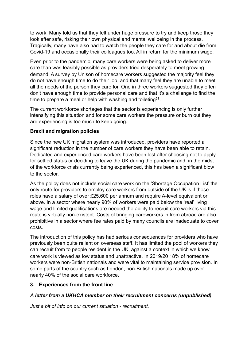to work. Many told us that they felt under huge pressure to try and keep those they look after safe, risking their own physical and mental wellbeing in the process. Tragically, many have also had to watch the people they care for and about die from Covid-19 and occasionally their colleagues too. All in return for the minimum wage.

Even prior to the pandemic, many care workers were being asked to deliver more care than was feasibly possible as providers tried desperately to meet growing demand. A survey by Unison of homecare workers suggested the majority feel they do not have enough time to do their job, and that many feel they are unable to meet all the needs of the person they care for. One in three workers suggested they often don't have enough time to provide personal care and that it's a challenge to find the time to prepare a meal or help with washing and toileting<sup>[23](#page-9-18)</sup>.

<span id="page-5-0"></span>The current workforce shortages that the sector is experiencing is only further intensifying this situation and for some care workers the pressure or burn out they are experiencing is too much to keep going.

#### **Brexit and migration policies**

Since the new UK migration system was introduced, providers have reported a significant reduction in the number of care workers they have been able to retain. Dedicated and experienced care workers have been lost after choosing not to apply for settled status or deciding to leave the UK during the pandemic and, in the midst of the workforce crisis currently being experienced, this has been a significant blow to the sector.

As the policy does not include social care work on the 'Shortage Occupation List' the only route for providers to employ care workers from outside of the UK is if those roles have a salary of over £25,600 per annum and require A-level equivalent or above. In a sector where nearly 90% of workers were paid below the 'real' living wage and limited qualifications are needed the ability to recruit care workers via this route is virtually non-existent. Costs of bringing careworkers in from abroad are also prohibitive in a sector where fee rates paid by many councils are inadequate to cover costs.

The introduction of this policy has had serious consequences for providers who have previously been quite reliant on overseas staff. It has limited the pool of workers they can recruit from to people resident in the UK, against a context in which we know care work is viewed as low status and unattractive. In 2019/20 18% of homecare workers were non-British nationals and were vital to maintaining service provision. In some parts of the country such as London, non-British nationals made up over nearly 40% of the social care workforce.

#### **3. Experiences from the front line**

# *A letter from a UKHCA member on their recruitment concerns (unpublished)*

*Just a bit of info on our current situation - recruitment.*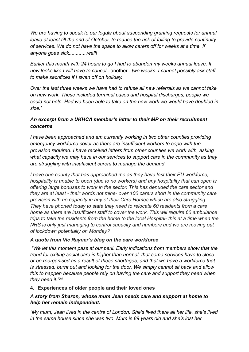*We are having to speak to our legals about suspending granting requests for annual leave at least till the end of October, to reduce the risk of failing to provide continuity of services. We do not have the space to allow carers off for weeks at a time. If anyone goes sick.............well!* 

*Earlier this month with 24 hours to go I had to abandon my weeks annual leave. It now looks like I will have to cancel ..*another*.. two weeks. I cannot possibly ask staff to make sacrifices if I swan off on holiday.* 

*Over the last three weeks we have had to refuse all new referrals as we cannot take on new work. These included terminal cases and hospital discharges, people we could not help. Had we been able to take on the new work we would have doubled in size.'* 

## *An excerpt from a UKHCA member's letter to their MP on their recruitment concerns*

*I have been approached and am currently working in two other counties providing emergency workforce cover as there are insufficient workers to cope with the provision required. I have received letters from other counties we work with, asking what capacity we may have in our services to support care in the community as they are struggling with insufficient carers to manage the demand.* 

*I have one county that has approached me as they have lost their EU workforce, hospitality is unable to open (due to no workers) and any hospitality that can open is offering large bonuses to work in the sector. This has denuded the care sector and they are at least - their words not mine- over 100 carers short in the community care provision with no capacity in any of their Care Homes which are also struggling. They have phoned today to state they need to relocate 60 residents from a care home as there are insufficient staff to cover the work. This will require 60 ambulance trips to take the residents from the home to the local Hospital- this at a time when the NHS is only just managing to control capacity and numbers and we are moving out of lockdown potentially on Monday?* 

#### *A quote from Vic Rayner's blog on the care workforce*

 *"We let this moment pass at our peril. Early indications from members show that the trend for exiting social care is higher than normal, that some services have to close or be reorganised as a result of these shortages, and that we have a workforce that is stressed, burnt out and looking for the door. We simply cannot sit back and allow this to happen because people rely on having the care and support they need when they need it.["24](#page-9-19)*

#### <span id="page-6-0"></span>**4. Experiences of older people and their loved ones**

#### *A story from Sharon, whose mum Jean needs care and support at home to help her remain independent.*

*"My mum, Jean lives in the centre of London. She's lived there all her life, she's lived in the same house since she was two. Mum is 89 years old and she's lost her*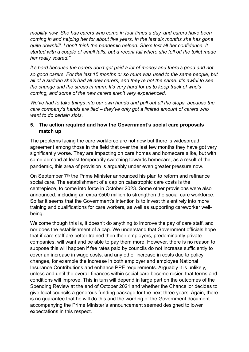*mobility now. She has carers who come in four times a day, and carers have been coming in and helping her for about five years. In the last six months she has gone quite downhill, I don't think the pandemic helped. She's lost all her confidence. It started with a couple of small falls, but a recent fall where she fell off the toilet made her really scared."* 

*It's hard because the carers don't get paid a lot of money and there's good and not so good carers. For the last 15 months or so mum was used to the same people, but all of a sudden she's had all new carers, and they're not the same. It's awful to see the change and the stress in mum. It's very hard for us to keep track of who's coming, and some of the new carers aren't very experienced.* 

*We've had to take things into our own hands and pull out all the stops, because the care company's hands are tied – they've only got a limited amount of carers who want to do certain slots.* 

#### **5. The action required and how the Government's social care proposals match up**

The problems facing the care workforce are not new but there is widespread agreement among those in the field that over the last few months they have got very significantly worse. They are impacting on care homes and homecare alike, but with some demand at least temporarily switching towards homecare, as a result of the pandemic, this area of provision is arguably under even greater pressure now.

On September 7<sup>th</sup> the Prime Minister announced his plan to reform and refinance social care. The establishment of a cap on catastrophic care costs is the centrepiece, to come into force in October 2023. Some other provisions were also announced, including an extra £500 million to strengthen the social care workforce. So far it seems that the Government's intention is to invest this entirely into more training and qualifications for care workers, as well as supporting careworker wellbeing.

Welcome though this is, it doesn't do anything to improve the pay of care staff, and nor does the establishment of a cap. We understand that Government officials hope that if care staff are better trained then their employers, predominantly private companies, will want and be able to pay them more. However, there is no reason to suppose this will happen if fee rates paid by councils do not increase sufficiently to cover an increase in wage costs, and any other increase in costs due to policy changes, for example the increase in both employer and employee National Insurance Contributions and enhance PPE requirements. Arguably it is unlikely, unless and until the overall finances within social care become rosier, that terms and conditions will improve. This in turn will depend in large part on the outcomes of the Spending Review at the end of October 2021 and whether the Chancellor decides to give local councils a generous funding package for the next three years. Again, there is no guarantee that he will do this and the wording of the Government document accompanying the Prime Minister's announcement seemed designed to lower expectations in this respect.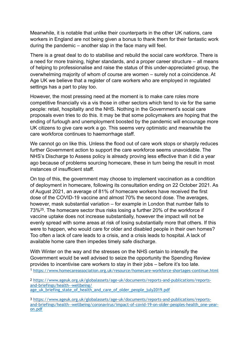Meanwhile, it is notable that unlike their counterparts in the other UK nations, care workers in England are not being given a bonus to thank them for their fantastic work during the pandemic – another slap in the face many will feel.

There is a great deal to do to stabilise and rebuild the social care workforce. There is a need for more training, higher standards, and a proper career structure – all means of helping to professionalise and raise the status of this under-appreciated group, the overwhelming majority of whom of course are women – surely not a coincidence. At Age UK we believe that a register of care workers who are employed in regulated settings has a part to play too.

However, the most pressing need at the moment is to make care roles more competitive financially vis a vis those in other sectors which tend to vie for the same people: retail, hospitality and the NHS. Nothing in the Government's social care proposals even tries to do this. It may be that some policymakers are hoping that the ending of furlough and unemployment boosted by the pandemic will encourage more UK citizens to give care work a go. This seems very optimistic and meanwhile the care workforce continues to haemorrhage staff.

We cannot go on like this. Unless the flood out of care work stops or sharply reduces further Government action to support the care workforce seems unavoidable. The NHS's Discharge to Assess policy is already proving less effective than it did a year ago because of problems sourcing homecare, these in turn being the result in most instances of insufficient staff.

<span id="page-8-3"></span>On top of this, the government may choose to implement vaccination as a condition of deployment in homecare, following its consultation ending on 22 October 2021. As of August 2021, an average of 81% of homecare workers have received the first dose of the COVID-19 vaccine and almost 70% the second dose. The averages, however, mask substantial variation – for example in London that number falls to 73%<sup>25</sup>[.](#page-9-20) The homecare sector thus risks losing a further 20% of the workforce if vaccine uptake does not increase substantially, however the impact will not be evenly spread with some areas at risk of losing substantially more that others. If this were to happen, who would care for older and disabled people in their own homes? Too often a lack of care leads to a crisis, and a crisis leads to hospital. A lack of available home care then impedes timely safe discharge.

With Winter on the way and the stresses on the NHS certain to intensify the Government would be well advised to seize the opportunity the Spending Review provides to incentivise care workers to stay in their jobs – before it's too late.

<span id="page-8-0"></span><https://www.homecareassociation.org.uk/resource/homecare-workforce-shortages-continue.html> [1](#page-1-0)

<span id="page-8-1"></span>[2](#page-1-1) [https://www.ageuk.org.uk/globalassets/age-uk/documents/reports-and-publications/reports](https://www.ageuk.org.uk/globalassets/age-uk/documents/reports-and-publications/reports-and-briefings/health--wellbeing/age_uk_briefing_state_of_health_and_care_of_older_people_july2019.pdf)[and-briefings/health--wellbeing/](https://www.ageuk.org.uk/globalassets/age-uk/documents/reports-and-publications/reports-and-briefings/health--wellbeing/age_uk_briefing_state_of_health_and_care_of_older_people_july2019.pdf) [age\\_uk\\_briefing\\_state\\_of\\_health\\_and\\_care\\_of\\_older\\_people\\_july2019.pdf](https://www.ageuk.org.uk/globalassets/age-uk/documents/reports-and-publications/reports-and-briefings/health--wellbeing/age_uk_briefing_state_of_health_and_care_of_older_people_july2019.pdf)

<span id="page-8-2"></span>[3](#page-2-0) [https://www.ageuk.org.uk/globalassets/age-uk/documents/reports-and-publications/reports](https://www.ageuk.org.uk/globalassets/age-uk/documents/reports-and-publications/reports-and-briefings/health--wellbeing/coronavirus/impact-of-covid-19-on-older-peoples-health_one-year-on.pdf)[and-briefings/health--wellbeing/coronavirus/impact-of-covid-19-on-older-peoples-health\\_one-year](https://www.ageuk.org.uk/globalassets/age-uk/documents/reports-and-publications/reports-and-briefings/health--wellbeing/coronavirus/impact-of-covid-19-on-older-peoples-health_one-year-on.pdf)[on.pdf](https://www.ageuk.org.uk/globalassets/age-uk/documents/reports-and-publications/reports-and-briefings/health--wellbeing/coronavirus/impact-of-covid-19-on-older-peoples-health_one-year-on.pdf)